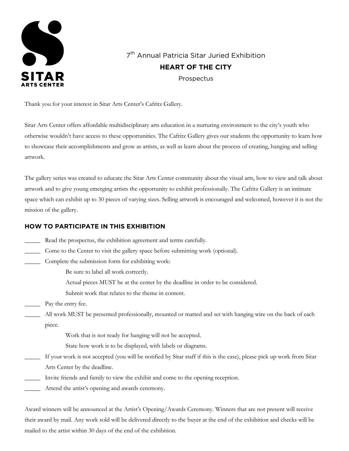

7<sup>th</sup> Annual Patricia Sitar Juried Exhibition **HEART OF THE CITY** Prospectus

Thank you for your interest in Sitar Arts Center's Cafritz Gallery.

Sitar Arts Center offers affordable multidisciplinary arts education in a nurturing environment to the city's youth who otherwise wouldn't have access to these opportunities. The Cafritz Gallery gives our students the opportunity to learn how to showcase their accomplishments and grow as artists, as well as learn about the process of creating, hanging and selling artwork.

The gallery series was created to educate the Sitar Arts Center community about the visual arts, how to view and talk about artwork and to give young emerging artists the opportunity to exhibit professionally. The Cafritz Gallery is an intimate space which can exhibit up to 30 pieces of varying sizes. Selling artwork is encouraged and welcomed, however it is not the mission of the gallery.

#### **HOW TO PARTICIPATE IN THIS EXHIBITION**

- \_\_\_\_\_ Read the prospectus, the exhibition agreement and terms carefully.
- \_\_\_\_\_ Come to the Center to visit the gallery space before submitting work (optional).
- Complete the submission form for exhibiting work:

Be sure to label all work correctly.

Actual pieces MUST be at the center by the deadline in order to be considered.

Submit work that relates to the theme in content.

\_\_\_\_\_ Pay the entry fee.

\_\_\_\_\_ All work MUST be presented professionally, mounted or matted and set with hanging wire on the back of each piece.

Work that is not ready for hanging will not be accepted.

State how work is to be displayed, with labels or diagrams.

- \_\_\_\_\_ If your work is not accepted (you will be notified by Sitar staff if this is the case), please pick up work from Sitar Arts Center by the deadline.
- \_\_\_\_\_ Invite friends and family to view the exhibit and come to the opening reception.
- Attend the artist's opening and awards ceremony.

Award winners will be announced at the Artist's Opening/Awards Ceremony. Winners that are not present will receive their award by mail. Any work sold will be delivered directly to the buyer at the end of the exhibition and checks will be mailed to the artist within 30 days of the end of the exhibition.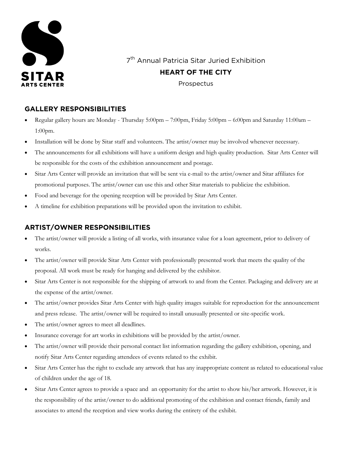

7<sup>th</sup> Annual Patricia Sitar Juried Exhibition

# **HEART OF THE CITY**

Prospectus

### **GALLERY RESPONSIBILITIES**

- Regular gallery hours are Monday Thursday 5:00pm 7:00pm, Friday 5:00pm 6:00pm and Saturday 11:00am 1:00pm.
- Installation will be done by Sitar staff and volunteers. The artist/owner may be involved whenever necessary.
- The announcements for all exhibitions will have a uniform design and high quality production. Sitar Arts Center will be responsible for the costs of the exhibition announcement and postage.
- Sitar Arts Center will provide an invitation that will be sent via e-mail to the artist/owner and Sitar affiliates for promotional purposes. The artist/owner can use this and other Sitar materials to publicize the exhibition.
- Food and beverage for the opening reception will be provided by Sitar Arts Center.
- A timeline for exhibition preparations will be provided upon the invitation to exhibit.

# **ARTIST/OWNER RESPONSIBILITIES**

- The artist/owner will provide a listing of all works, with insurance value for a loan agreement, prior to delivery of works.
- The artist/owner will provide Sitar Arts Center with professionally presented work that meets the quality of the proposal. All work must be ready for hanging and delivered by the exhibitor.
- Sitar Arts Center is not responsible for the shipping of artwork to and from the Center. Packaging and delivery are at the expense of the artist/owner.
- The artist/owner provides Sitar Arts Center with high quality images suitable for reproduction for the announcement and press release. The artist/owner will be required to install unusually presented or site-specific work.
- The artist/owner agrees to meet all deadlines.
- Insurance coverage for art works in exhibitions will be provided by the artist/owner.
- The artist/owner will provide their personal contact list information regarding the gallery exhibition, opening, and notify Sitar Arts Center regarding attendees of events related to the exhibit.
- Sitar Arts Center has the right to exclude any artwork that has any inappropriate content as related to educational value of children under the age of 18.
- Sitar Arts Center agrees to provide a space and an opportunity for the artist to show his/her artwork. However, it is the responsibility of the artist/owner to do additional promoting of the exhibition and contact friends, family and associates to attend the reception and view works during the entirety of the exhibit.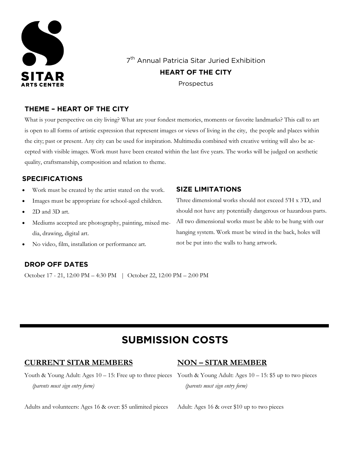

7<sup>th</sup> Annual Patricia Sitar Juried Exhibition **HEART OF THE CITY** Prospectus

### **THEME – HEART OF THE CITY**

What is your perspective on city living? What are your fondest memories, moments or favorite landmarks? This call to art is open to all forms of artistic expression that represent images or views of living in the city, the people and places within the city; past or present. Any city can be used for inspiration. Multimedia combined with creative writing will also be accepted with visible images. Work must have been created within the last five years. The works will be judged on aesthetic quality, craftsmanship, composition and relation to theme.

### **SPECIFICATIONS**

- Work must be created by the artist stated on the work.
- Images must be appropriate for school-aged children.
- 2D and 3D art.
- Mediums accepted are photography, painting, mixed media, drawing, digital art.
- No video, film, installation or performance art.

# **DROP OFF DATES**

October 17 - 21, 12:00 PM – 4:30 PM | October 22, 12:00 PM – 2:00 PM

### **SIZE LIMITATIONS**

Three dimensional works should not exceed 5'H x 3'D, and should not have any potentially dangerous or hazardous parts. All two dimensional works must be able to be hung with our hanging system. Work must be wired in the back, holes will not be put into the walls to hang artwork.

# **SUBMISSION COSTS**

# **CURRENT SITAR MEMBERS**

# **NON – SITAR MEMBER**

Youth & Young Adult: Ages 10 – 15: Free up to three pieces Youth & Young Adult: Ages 10 – 15: \$5 up to two pieces *(parents must sign entry form)*

Adults and volunteers: Ages 16 & over: \$5 unlimited pieces

 *(parents must sign entry form)*

Adult: Ages 16 & over \$10 up to two pieces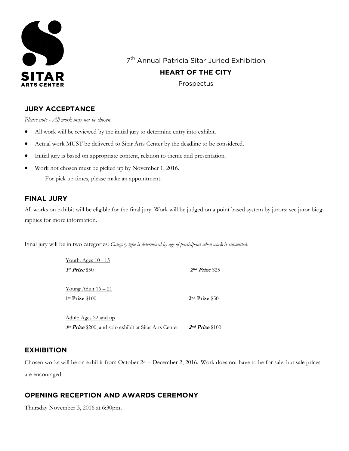

7<sup>th</sup> Annual Patricia Sitar Juried Exhibition

**HEART OF THE CITY**

Prospectus

# **JURY ACCEPTANCE**

*Please note - All work may not be chosen.*

- All work will be reviewed by the initial jury to determine entry into exhibit.
- Actual work MUST be delivered to Sitar Arts Center by the deadline to be considered.
- Initial jury is based on appropriate content, relation to theme and presentation.
- Work not chosen must be picked up by November 1, 2016.

For pick up times, please make an appointment.

### **FINAL JURY**

All works on exhibit will be eligible for the final jury. Work will be judged on a point based system by jurors; see juror biographies for more information.

Final jury will be in two categories: *Category type is determined by age of participant when work is submitted.*

| <u>Youth: Ages 10 - 15</u>                             |                    |
|--------------------------------------------------------|--------------------|
| $1st$ Prize \$50                                       | $2nd Prize$ \$25   |
| Young Adult $16 - 21$                                  |                    |
| $1st$ Prize $$100$                                     | $2nd$ Prize $$50$  |
| Adult: Ages 22 and up                                  |                    |
| 1st Prize \$200, and solo exhibit at Sitar Arts Center | $2nd$ Prize $$100$ |

### **EXHIBITION**

Chosen works will be on exhibit from October 24 – December 2, 2016. Work does not have to be for sale, but sale prices are encouraged.

### **OPENING RECEPTION AND AWARDS CEREMONY**

Thursday November 3, 2016 at 6:30pm.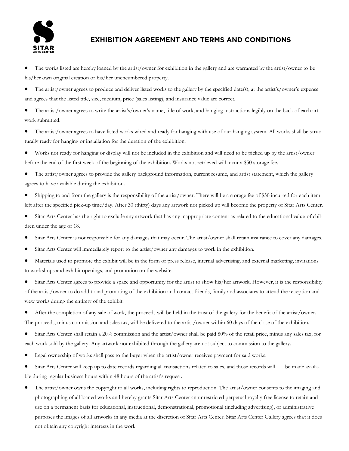

## **EXHIBITION AGREEMENT AND TERMS AND CONDITIONS**

 The works listed are hereby loaned by the artist/owner for exhibition in the gallery and are warranted by the artist/owner to be his/her own original creation or his/her unencumbered property.

 The artist/owner agrees to produce and deliver listed works to the gallery by the specified date(s), at the artist's/owner's expense and agrees that the listed title, size, medium, price (sales listing), and insurance value are correct.

 The artist/owner agrees to write the artist's/owner's name, title of work, and hanging instructions legibly on the back of each artwork submitted.

- The artist/owner agrees to have listed works wired and ready for hanging with use of our hanging system. All works shall be structurally ready for hanging or installation for the duration of the exhibition.
- Works not ready for hanging or display will not be included in the exhibition and will need to be picked up by the artist/owner before the end of the first week of the beginning of the exhibition. Works not retrieved will incur a \$50 storage fee.
- The artist/owner agrees to provide the gallery background information, current resume, and artist statement, which the gallery agrees to have available during the exhibition.
- Shipping to and from the gallery is the responsibility of the artist/owner. There will be a storage fee of \$50 incurred for each item left after the specified pick-up time/day. After 30 (thirty) days any artwork not picked up will become the property of Sitar Arts Center.
- Sitar Arts Center has the right to exclude any artwork that has any inappropriate content as related to the educational value of children under the age of 18.
- Sitar Arts Center is not responsible for any damages that may occur. The artist/owner shall retain insurance to cover any damages.
- Sitar Arts Center will immediately report to the artist/owner any damages to work in the exhibition.
- Materials used to promote the exhibit will be in the form of press release, internal advertising, and external marketing, invitations to workshops and exhibit openings, and promotion on the website.
- Sitar Arts Center agrees to provide a space and opportunity for the artist to show his/her artwork. However, it is the responsibility of the artist/owner to do additional promoting of the exhibition and contact friends, family and associates to attend the reception and view works during the entirety of the exhibit.
- After the completion of any sale of work, the proceeds will be held in the trust of the gallery for the benefit of the artist/owner. The proceeds, minus commission and sales tax, will be delivered to the artist/owner within 60 days of the close of the exhibition.
- Sitar Arts Center shall retain a 20% commission and the artist/owner shall be paid 80% of the retail price, minus any sales tax, for each work sold by the gallery. Any artwork not exhibited through the gallery are not subject to commission to the gallery.
- Legal ownership of works shall pass to the buyer when the artist/owner receives payment for said works.
- Sitar Arts Center will keep up to date records regarding all transactions related to sales, and those records will be made available during regular business hours within 48 hours of the artist's request.
- The artist/owner owns the copyright to all works, including rights to reproduction. The artist/owner consents to the imaging and photographing of all loaned works and hereby grants Sitar Arts Center an unrestricted perpetual royalty free license to retain and use on a permanent basis for educational, instructional, demonstrational, promotional (including advertising), or administrative purposes the images of all artworks in any media at the discretion of Sitar Arts Center. Sitar Arts Center Gallery agrees that it does not obtain any copyright interests in the work.